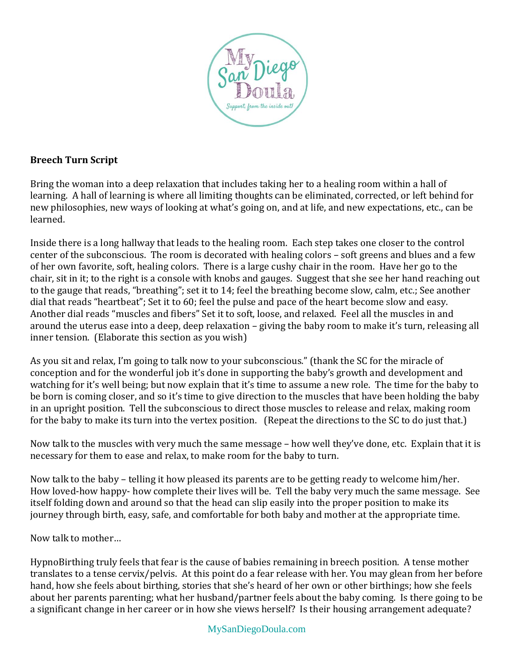

## **Breech Turn Script**

Bring the woman into a deep relaxation that includes taking her to a healing room within a hall of learning. A hall of learning is where all limiting thoughts can be eliminated, corrected, or left behind for new philosophies, new ways of looking at what's going on, and at life, and new expectations, etc., can be learned.

Inside there is a long hallway that leads to the healing room. Each step takes one closer to the control center of the subconscious. The room is decorated with healing colors – soft greens and blues and a few of her own favorite, soft, healing colors. There is a large cushy chair in the room. Have her go to the chair, sit in it; to the right is a console with knobs and gauges. Suggest that she see her hand reaching out to the gauge that reads, "breathing"; set it to 14; feel the breathing become slow, calm, etc.; See another dial that reads "heartbeat"; Set it to 60; feel the pulse and pace of the heart become slow and easy. Another dial reads "muscles and fibers" Set it to soft, loose, and relaxed. Feel all the muscles in and around the uterus ease into a deep, deep relaxation – giving the baby room to make it's turn, releasing all inner tension. (Elaborate this section as you wish)

As you sit and relax, I'm going to talk now to your subconscious." (thank the SC for the miracle of conception and for the wonderful job it's done in supporting the baby's growth and development and watching for it's well being; but now explain that it's time to assume a new role. The time for the baby to be born is coming closer, and so it's time to give direction to the muscles that have been holding the baby in an upright position. Tell the subconscious to direct those muscles to release and relax, making room for the baby to make its turn into the vertex position. (Repeat the directions to the SC to do just that.)

Now talk to the muscles with very much the same message – how well they've done, etc. Explain that it is necessary for them to ease and relax, to make room for the baby to turn.

Now talk to the baby – telling it how pleased its parents are to be getting ready to welcome him/her. How loved-how happy- how complete their lives will be. Tell the baby very much the same message. See itself folding down and around so that the head can slip easily into the proper position to make its journey through birth, easy, safe, and comfortable for both baby and mother at the appropriate time.

Now talk to mother…

HypnoBirthing truly feels that fear is the cause of babies remaining in breech position. A tense mother translates to a tense cervix/pelvis. At this point do a fear release with her. You may glean from her before hand, how she feels about birthing, stories that she's heard of her own or other birthings; how she feels about her parents parenting; what her husband/partner feels about the baby coming. Is there going to be a significant change in her career or in how she views herself? Is their housing arrangement adequate?

## MySanDiegoDoula.com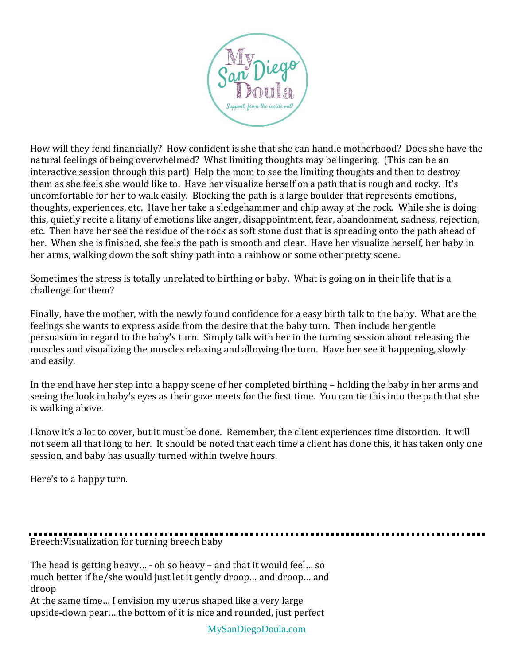

How will they fend financially? How confident is she that she can handle motherhood? Does she have the natural feelings of being overwhelmed? What limiting thoughts may be lingering. (This can be an interactive session through this part) Help the mom to see the limiting thoughts and then to destroy them as she feels she would like to. Have her visualize herself on a path that is rough and rocky. It's uncomfortable for her to walk easily. Blocking the path is a large boulder that represents emotions, thoughts, experiences, etc. Have her take a sledgehammer and chip away at the rock. While she is doing this, quietly recite a litany of emotions like anger, disappointment, fear, abandonment, sadness, rejection, etc. Then have her see the residue of the rock as soft stone dust that is spreading onto the path ahead of her. When she is finished, she feels the path is smooth and clear. Have her visualize herself, her baby in her arms, walking down the soft shiny path into a rainbow or some other pretty scene.

Sometimes the stress is totally unrelated to birthing or baby. What is going on in their life that is a challenge for them?

Finally, have the mother, with the newly found confidence for a easy birth talk to the baby. What are the feelings she wants to express aside from the desire that the baby turn. Then include her gentle persuasion in regard to the baby's turn. Simply talk with her in the turning session about releasing the muscles and visualizing the muscles relaxing and allowing the turn. Have her see it happening, slowly and easily.

In the end have her step into a happy scene of her completed birthing – holding the baby in her arms and seeing the look in baby's eyes as their gaze meets for the first time. You can tie this into the path that she is walking above.

I know it's a lot to cover, but it must be done. Remember, the client experiences time distortion. It will not seem all that long to her. It should be noted that each time a client has done this, it has taken only one session, and baby has usually turned within twelve hours.

Here's to a happy turn.

Breech:Visualization for turning breech baby

The head is getting heavy… - oh so heavy – and that it would feel… so much better if he/she would just let it gently droop… and droop… and droop

At the same time… I envision my uterus shaped like a very large upside-down pear… the bottom of it is nice and rounded, just perfect

MySanDiegoDoula.com